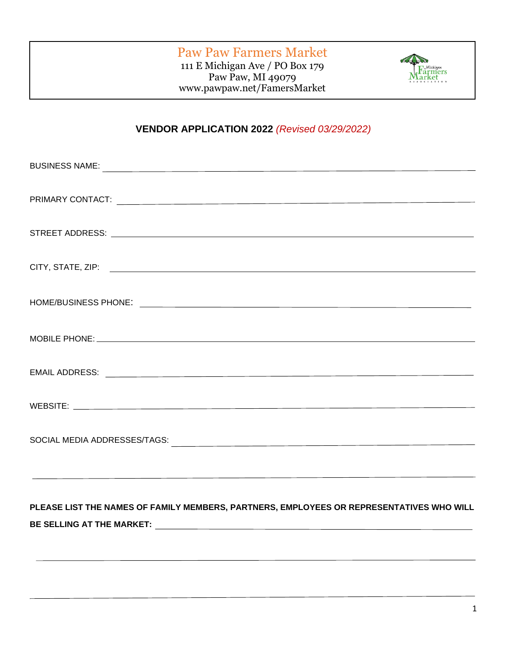## Paw Paw Farmers Market

111 E Michigan Ave / PO Box 179 Paw Paw, MI 49079 www.pawpaw.net/FamersMarket



## **VENDOR APPLICATION 2022** *(Revised 03/29/2022)*

# **PLEASE LIST THE NAMES OF FAMILY MEMBERS, PARTNERS, EMPLOYEES OR REPRESENTATIVES WHO WILL BE SELLING AT THE MARKET:**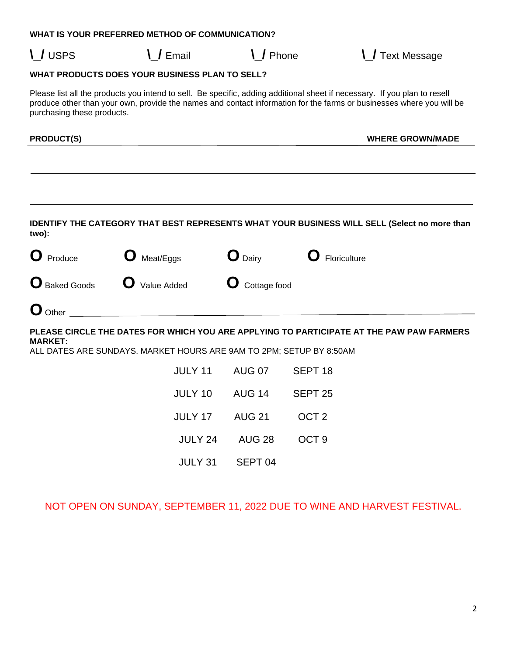#### **WHAT IS YOUR PREFERRED METHOD OF COMMUNICATION?**

**\\_/** USPS **\\_/** Email **\\_/** Phone **\\_/** Text Message

#### **WHAT PRODUCTS DOES YOUR BUSINESS PLAN TO SELL?**

Please list all the products you intend to sell. Be specific, adding additional sheet if necessary. If you plan to resell produce other than your own, provide the names and contact information for the farms or businesses where you will be purchasing these products.

**PRODUCT(S) WHERE GROWN/MADE**

**IDENTIFY THE CATEGORY THAT BEST REPRESENTS WHAT YOUR BUSINESS WILL SELL (Select no more than two):** 

| O<br>Produce                | Meat/Eggs   | $\mathbf{O}_{\text{Dairy}}$ | Floriculture |
|-----------------------------|-------------|-----------------------------|--------------|
| <b>O</b> Baked Goods        | Value Added | <b>O</b> Cottage food       |              |
| $\mathbf{O}_{\text{Other}}$ |             |                             |              |

**PLEASE CIRCLE THE DATES FOR WHICH YOU ARE APPLYING TO PARTICIPATE AT THE PAW PAW FARMERS MARKET:**

ALL DATES ARE SUNDAYS. MARKET HOURS ARE 9AM TO 2PM; SETUP BY 8:50AM

| <b>JULY 11</b> | <b>AUG 07</b>      | SEPT <sub>18</sub> |
|----------------|--------------------|--------------------|
| <b>JULY 10</b> | <b>AUG 14</b>      | SEPT <sub>25</sub> |
| <b>JULY 17</b> | <b>AUG 21</b>      | OCT <sub>2</sub>   |
| <b>JULY 24</b> | <b>AUG 28</b>      | OCT <sub>9</sub>   |
| <b>JULY 31</b> | SEPT <sub>04</sub> |                    |

NOT OPEN ON SUNDAY, SEPTEMBER 11, 2022 DUE TO WINE AND HARVEST FESTIVAL.